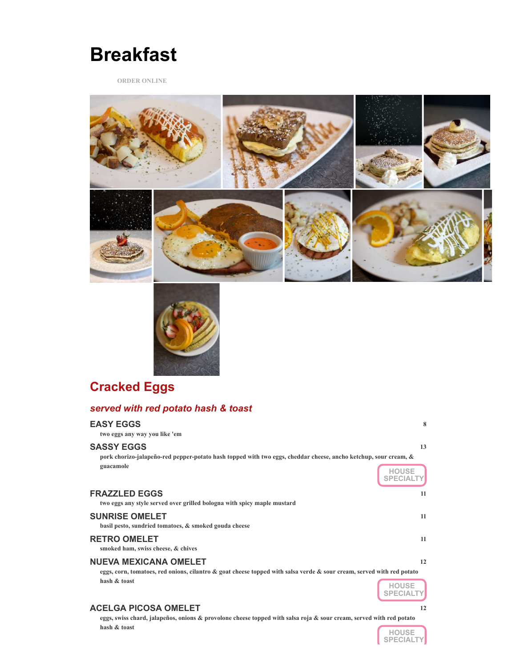

**ORDER ONLINE**





# **Cracked Eggs**

#### *served with red potato hash & toast*

| <b>EASY EGGS</b><br>two eggs any way you like 'em                                                                                                     | 8  |
|-------------------------------------------------------------------------------------------------------------------------------------------------------|----|
| <b>SASSY EGGS</b><br>pork chorizo-jalapeño-red pepper-potato hash topped with two eggs, cheddar cheese, ancho ketchup, sour cream, &                  | 13 |
| guacamole                                                                                                                                             |    |
| <b>FRAZZLED EGGS</b><br>two eggs any style served over grilled bologna with spicy maple mustard                                                       | 11 |
| <b>SUNRISE OMELET</b><br>basil pesto, sundried tomatoes, & smoked gouda cheese                                                                        | 11 |
| <b>RETRO OMELET</b><br>smoked ham, swiss cheese, & chives                                                                                             | 11 |
| <b>NUEVA MEXICANA OMELET</b><br>eggs, corn, tomatoes, red onions, cilantro & goat cheese topped with salsa verde & sour cream, served with red potato | 12 |
| hash & toast                                                                                                                                          |    |

#### **ACELGA PICOSA OMELET 12**

**eggs, swiss chard, jalapeños, onions & provolone cheese topped with salsa roja & sour cream, served with red potato hash & toast**

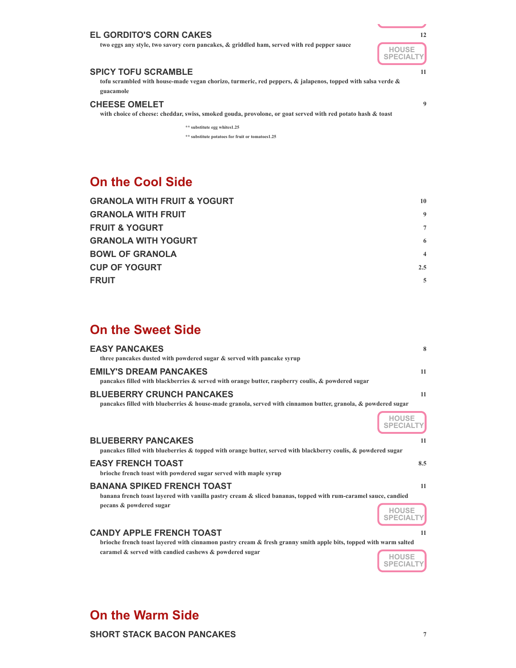#### **EL GORDITO'S CORN CAKES 12**

**two eggs any style, two savory corn pancakes, & griddled ham, served with red pepper sauce**



#### **SPICY TOFU SCRAMBLE 11**

**tofu scrambled with house-made vegan chorizo, turmeric, red peppers, & jalapenos, topped with salsa verde & guacamole**

#### **CHEESE OMELET 9**

**with choice of cheese: cheddar, swiss, smoked gouda, provolone, or goat served with red potato hash & toast**

**\*\* substitute egg whites1.25 \*\* substitute potatoes for fruit or tomatoes1.25**

### **On the Cool Side**

| <b>GRANOLA WITH FRUIT &amp; YOGURT</b> | 10             |
|----------------------------------------|----------------|
| <b>GRANOLA WITH FRUIT</b>              | 9              |
| <b>FRUIT &amp; YOGURT</b>              | $\tau$         |
| <b>GRANOLA WITH YOGURT</b>             | 6              |
| <b>BOWL OF GRANOLA</b>                 | $\overline{4}$ |
| <b>CUP OF YOGURT</b>                   | $2.5^{\circ}$  |
| <b>FRUIT</b>                           | 5              |

### **On the Sweet Side**

| <b>EASY PANCAKES</b><br>three pancakes dusted with powdered sugar & served with pancake syrup                                                                                  | 8                  |
|--------------------------------------------------------------------------------------------------------------------------------------------------------------------------------|--------------------|
| <b>EMILY'S DREAM PANCAKES</b><br>pancakes filled with blackberries $\&$ served with orange butter, raspberry coulis, $\&$ powdered sugar                                       | 11                 |
| <b>BLUEBERRY CRUNCH PANCAKES</b><br>pancakes filled with blueberries & house-made granola, served with cinnamon butter, granola, & powdered sugar                              | 11                 |
|                                                                                                                                                                                | HOUSE<br>SPECIALTY |
| <b>BLUEBERRY PANCAKES</b><br>pancakes filled with blueberries & topped with orange butter, served with blackberry coulis, & powdered sugar                                     | 11                 |
| <b>EASY FRENCH TOAST</b><br>brioche french toast with powdered sugar served with maple syrup                                                                                   | 8.5                |
| <b>BANANA SPIKED FRENCH TOAST</b><br>banana french toast layered with vanilla pastry cream & sliced bananas, topped with rum-caramel sauce, candied<br>pecans & powdered sugar | 11                 |
| <b>CANDY APPLE FRENCH TOAST</b><br>brioche french toast layered with cinnamon pastry cream $\&$ fresh granny smith apple bits, topped with warm salted                         | 11                 |
| caramel & served with candied cashews & powdered sugar                                                                                                                         |                    |

## **On the Warm Side**

**SHORT STACK BACON PANCAKES 7**